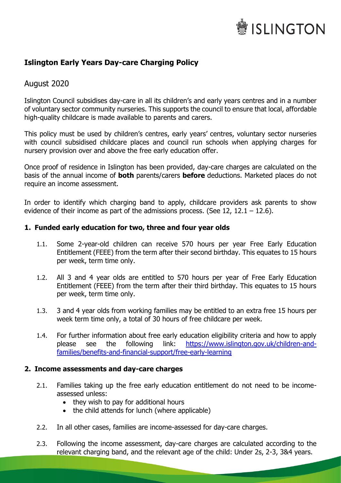# **ISLINGTON**

# **Islington Early Years Day-care Charging Policy**

# August 2020

Islington Council subsidises day-care in all its children's and early years centres and in a number of voluntary sector community nurseries. This supports the council to ensure that local, affordable high-quality childcare is made available to parents and carers.

This policy must be used by children's centres, early years' centres, voluntary sector nurseries with council subsidised childcare places and council run schools when applying charges for nursery provision over and above the free early education offer.

Once proof of residence in Islington has been provided, day-care charges are calculated on the basis of the annual income of **both** parents/carers **before** deductions. Marketed places do not require an income assessment.

In order to identify which charging band to apply, childcare providers ask parents to show evidence of their income as part of the admissions process. (See 12, 12.1 – 12.6).

# **1. Funded early education for two, three and four year olds**

- 1.1. Some 2-year-old children can receive 570 hours per year Free Early Education Entitlement (FEEE) from the term after their second birthday. This equates to 15 hours per week, term time only.
- 1.2. All 3 and 4 year olds are entitled to 570 hours per year of Free Early Education Entitlement (FEEE) from the term after their third birthday. This equates to 15 hours per week, term time only.
- 1.3. 3 and 4 year olds from working families may be entitled to an extra free 15 hours per week term time only, a total of 30 hours of free childcare per week.
- 1.4. For further information about free early education eligibility criteria and how to apply please see the following link: [https://www.islington.gov.uk/children-and](https://www.islington.gov.uk/children-and-families/benefits-and-financial-support/free-early-learning)[families/benefits-and-financial-support/free-early-learning](https://www.islington.gov.uk/children-and-families/benefits-and-financial-support/free-early-learning)

# **2. Income assessments and day-care charges**

- 2.1. Families taking up the free early education entitlement do not need to be incomeassessed unless:
	- they wish to pay for additional hours
	- the child attends for lunch (where applicable)
- 2.2. In all other cases, families are income-assessed for day-care charges.
- 2.3. Following the income assessment, day-care charges are calculated according to the relevant charging band, and the relevant age of the child: Under 2s, 2-3, 3&4 years.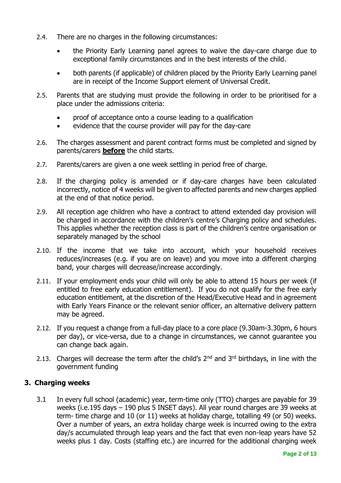- 2.4. There are no charges in the following circumstances:
	- the Priority Early Learning panel agrees to waive the day-care charge due to exceptional family circumstances and in the best interests of the child.
	- both parents (if applicable) of children placed by the Priority Early Learning panel are in receipt of the Income Support element of Universal Credit.
- 2.5. Parents that are studying must provide the following in order to be prioritised for a place under the admissions criteria:
	- proof of acceptance onto a course leading to a qualification
	- evidence that the course provider will pay for the day-care
- 2.6. The charges assessment and parent contract forms must be completed and signed by parents/carers **before** the child starts.
- 2.7. Parents/carers are given a one week settling in period free of charge.
- 2.8. If the charging policy is amended or if day-care charges have been calculated incorrectly, notice of 4 weeks will be given to affected parents and new charges applied at the end of that notice period.
- 2.9. All reception age children who have a contract to attend extended day provision will be charged in accordance with the children's centre's Charging policy and schedules. This applies whether the reception class is part of the children's centre organisation or separately managed by the school
- 2.10. If the income that we take into account, which your household receives reduces/increases (e.g. if you are on leave) and you move into a different charging band, your charges will decrease/increase accordingly.
- 2.11. If your employment ends your child will only be able to attend 15 hours per week (if entitled to free early education entitlement). If you do not qualify for the free early education entitlement, at the discretion of the Head/Executive Head and in agreement with Early Years Finance or the relevant senior officer, an alternative delivery pattern may be agreed.
- 2.12. If you request a change from a full-day place to a core place (9.30am-3.30pm, 6 hours per day), or vice-versa, due to a change in circumstances, we cannot guarantee you can change back again.
- 2.13. Charges will decrease the term after the child's  $2<sup>nd</sup>$  and  $3<sup>rd</sup>$  birthdays, in line with the government funding

# **3. Charging weeks**

3.1 In every full school (academic) year, term-time only (TTO) charges are payable for 39 weeks (i.e.195 days – 190 plus 5 INSET days). All year round charges are 39 weeks at term- time charge and 10 (or 11) weeks at holiday charge, totalling 49 (or 50) weeks. Over a number of years, an extra holiday charge week is incurred owing to the extra day/s accumulated through leap years and the fact that even non-leap years have 52 weeks plus 1 day. Costs (staffing etc.) are incurred for the additional charging week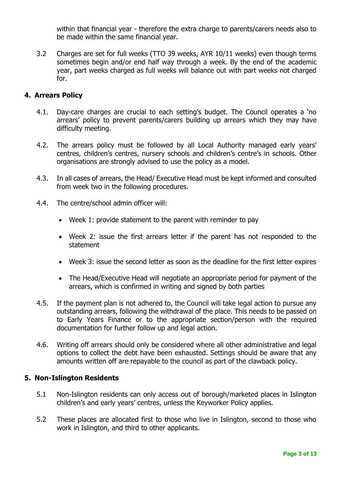within that financial year - therefore the extra charge to parents/carers needs also to be made within the same financial year.

3.2 Charges are set for full weeks (TTO 39 weeks, AYR 10/11 weeks) even though terms sometimes begin and/or end half way through a week. By the end of the academic year, part weeks charged as full weeks will balance out with part weeks not charged for.

# **4. Arrears Policy**

- 4.1. Day-care charges are crucial to each setting's budget. The Council operates a 'no arrears' policy to prevent parents/carers building up arrears which they may have difficulty meeting.
- 4.2. The arrears policy must be followed by all Local Authority managed early years' centres, children's centres, nursery schools and children's centre's in schools. Other organisations are strongly advised to use the policy as a model.
- 4.3. In all cases of arrears, the Head/ Executive Head must be kept informed and consulted from week two in the following procedures.
- 4.4. The centre/school admin officer will:
	- Week 1: provide statement to the parent with reminder to pay
	- Week 2: issue the first arrears letter if the parent has not responded to the statement
	- Week 3: issue the second letter as soon as the deadline for the first letter expires
	- The Head/Executive Head will negotiate an appropriate period for payment of the arrears, which is confirmed in writing and signed by both parties
- 4.5. If the payment plan is not adhered to, the Council will take legal action to pursue any outstanding arrears, following the withdrawal of the place. This needs to be passed on to Early Years Finance or to the appropriate section/person with the required documentation for further follow up and legal action.
- 4.6. Writing off arrears should only be considered where all other administrative and legal options to collect the debt have been exhausted. Settings should be aware that any amounts written off are repayable to the council as part of the clawback policy.

# **5. Non-Islington Residents**

- 5.1 Non-Islington residents can only access out of borough/marketed places in Islington children's and early years' centres, unless the Keyworker Policy applies.
- 5.2 These places are allocated first to those who live in Islington, second to those who work in Islington, and third to other applicants.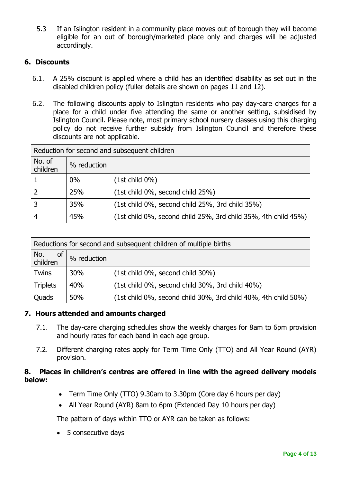5.3 If an Islington resident in a community place moves out of borough they will become eligible for an out of borough/marketed place only and charges will be adjusted accordingly.

# **6. Discounts**

- 6.1. A 25% discount is applied where a child has an identified disability as set out in the disabled children policy (fuller details are shown on pages 11 and 12).
- 6.2. The following discounts apply to Islington residents who pay day-care charges for a place for a child under five attending the same or another setting, subsidised by Islington Council. Please note, most primary school nursery classes using this charging policy do not receive further subsidy from Islington Council and therefore these discounts are not applicable.

| Reduction for second and subsequent children |             |                                                                |  |  |
|----------------------------------------------|-------------|----------------------------------------------------------------|--|--|
| No. of<br>children                           | % reduction |                                                                |  |  |
|                                              | $0\%$       | $(1st child 0\%)$                                              |  |  |
|                                              | 25%         | $(1st child 0\%, second child 25\%)$                           |  |  |
|                                              | 35%         | (1st child 0%, second child 25%, 3rd child 35%)                |  |  |
|                                              | 45%         | (1st child 0%, second child 25%, 3rd child 35%, 4th child 45%) |  |  |

| Reductions for second and subsequent children of multiple births |             |                                                                |  |  |
|------------------------------------------------------------------|-------------|----------------------------------------------------------------|--|--|
| No.<br><b>of</b><br>children                                     | % reduction |                                                                |  |  |
| <b>Twins</b>                                                     | 30%         | (1st child 0%, second child 30%)                               |  |  |
| <b>Triplets</b>                                                  | 40%         | (1st child 0%, second child 30%, 3rd child 40%)                |  |  |
| Quads                                                            | 50%         | (1st child 0%, second child 30%, 3rd child 40%, 4th child 50%) |  |  |

# **7. Hours attended and amounts charged**

- 7.1. The day-care charging schedules show the weekly charges for 8am to 6pm provision and hourly rates for each band in each age group.
- 7.2. Different charging rates apply for Term Time Only (TTO) and All Year Round (AYR) provision.

# **8. Places in children's centres are offered in line with the agreed delivery models below:**

- Term Time Only (TTO) 9.30am to 3.30pm (Core day 6 hours per day)
- All Year Round (AYR) 8am to 6pm (Extended Day 10 hours per day)

The pattern of days within TTO or AYR can be taken as follows:

• 5 consecutive days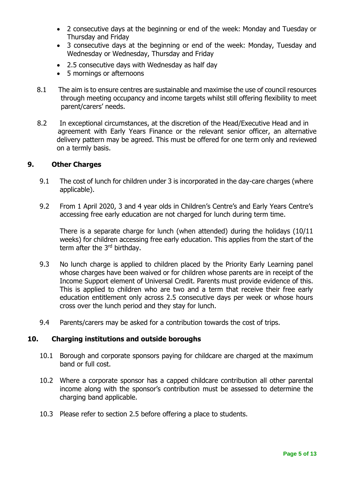- 2 consecutive days at the beginning or end of the week: Monday and Tuesday or Thursday and Friday
- 3 consecutive days at the beginning or end of the week: Monday, Tuesday and Wednesday or Wednesday, Thursday and Friday
- 2.5 consecutive days with Wednesday as half day
- 5 mornings or afternoons
- 8.1 The aim is to ensure centres are sustainable and maximise the use of council resources through meeting occupancy and income targets whilst still offering flexibility to meet parent/carers' needs.
- 8.2 In exceptional circumstances, at the discretion of the Head/Executive Head and in agreement with Early Years Finance or the relevant senior officer, an alternative delivery pattern may be agreed. This must be offered for one term only and reviewed on a termly basis.

### **9. Other Charges**

- 9.1 The cost of lunch for children under 3 is incorporated in the day-care charges (where applicable).
- 9.2 From 1 April 2020, 3 and 4 year olds in Children's Centre's and Early Years Centre's accessing free early education are not charged for lunch during term time.

There is a separate charge for lunch (when attended) during the holidays (10/11 weeks) for children accessing free early education. This applies from the start of the term after the 3rd birthday.

- 9.3 No lunch charge is applied to children placed by the Priority Early Learning panel whose charges have been waived or for children whose parents are in receipt of the Income Support element of Universal Credit. Parents must provide evidence of this. This is applied to children who are two and a term that receive their free early education entitlement only across 2.5 consecutive days per week or whose hours cross over the lunch period and they stay for lunch.
- 9.4 Parents/carers may be asked for a contribution towards the cost of trips.

#### **10. Charging institutions and outside boroughs**

- 10.1 Borough and corporate sponsors paying for childcare are charged at the maximum band or full cost.
- 10.2 Where a corporate sponsor has a capped childcare contribution all other parental income along with the sponsor's contribution must be assessed to determine the charging band applicable.
- 10.3 Please refer to section 2.5 before offering a place to students.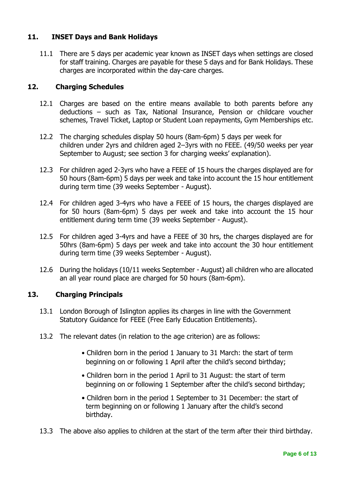# **11. INSET Days and Bank Holidays**

11.1 There are 5 days per academic year known as INSET days when settings are closed for staff training. Charges are payable for these 5 days and for Bank Holidays. These charges are incorporated within the day-care charges.

# **12. Charging Schedules**

- 12.1 Charges are based on the entire means available to both parents before any deductions – such as Tax, National Insurance, Pension or childcare voucher schemes, Travel Ticket, Laptop or Student Loan repayments, Gym Memberships etc.
- 12.2 The charging schedules display 50 hours (8am-6pm) 5 days per week for children under 2yrs and children aged 2–3yrs with no FEEE. (49/50 weeks per year September to August; see section 3 for charging weeks' explanation).
- 12.3 For children aged 2-3yrs who have a FEEE of 15 hours the charges displayed are for 50 hours (8am-6pm) 5 days per week and take into account the 15 hour entitlement during term time (39 weeks September - August).
- 12.4 For children aged 3-4yrs who have a FEEE of 15 hours, the charges displayed are for 50 hours (8am-6pm) 5 days per week and take into account the 15 hour entitlement during term time (39 weeks September - August).
- 12.5 For children aged 3-4yrs and have a FEEE of 30 hrs, the charges displayed are for 50hrs (8am-6pm) 5 days per week and take into account the 30 hour entitlement during term time (39 weeks September - August).
- 12.6 During the holidays (10/11 weeks September August) all children who are allocated an all year round place are charged for 50 hours (8am-6pm).

# **13. Charging Principals**

- 13.1 London Borough of Islington applies its charges in line with the Government Statutory Guidance for FEEE (Free Early Education Entitlements).
- 13.2 The relevant dates (in relation to the age criterion) are as follows:
	- Children born in the period 1 January to 31 March: the start of term beginning on or following 1 April after the child's second birthday;
	- Children born in the period 1 April to 31 August: the start of term beginning on or following 1 September after the child's second birthday;
	- Children born in the period 1 September to 31 December: the start of term beginning on or following 1 January after the child's second birthday.
- 13.3 The above also applies to children at the start of the term after their third birthday.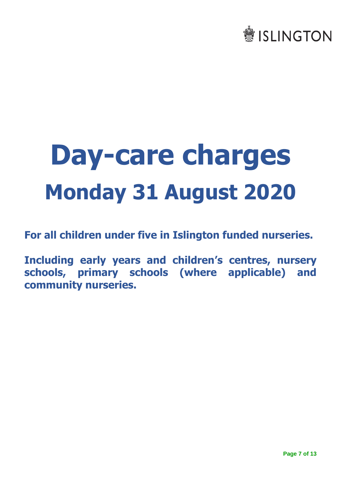# **●ISLINGTON**

# **Day-care charges Monday 31 August 2020**

**For all children under five in Islington funded nurseries.**

**Including early years and children's centres, nursery schools, primary schools (where applicable) and community nurseries.**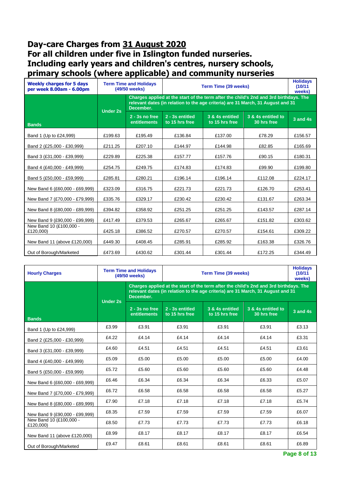# **Day-care Charges from 31 August 2020 For all children under five in Islington funded nurseries. Including early years and children's centres, nursery schools, primary schools (where applicable) and community nurseries**

| <b>Weekly charges for 5 days</b><br>per week 8.00am - 6.00pm |                 | <b>Term Time and Holidays</b><br>(49/50 weeks)                                                                                                                                        | <b>Holidays</b><br>(10/11)<br>weeks) |                                   |                                   |              |
|--------------------------------------------------------------|-----------------|---------------------------------------------------------------------------------------------------------------------------------------------------------------------------------------|--------------------------------------|-----------------------------------|-----------------------------------|--------------|
|                                                              | <b>Under 2s</b> | Charges applied at the start of the term after the child's 2nd and 3rd birthdays. The<br>relevant dates (in relation to the age criteria) are 31 March, 31 August and 31<br>December. |                                      |                                   |                                   |              |
| <b>Bands</b>                                                 |                 | $2 - 3s$ no free<br><b>entitlements</b>                                                                                                                                               | 2 - 3s entitled<br>to 15 hrs free    | 3 & 4s entitled<br>to 15 hrs free | 3 & 4s entitled to<br>30 hrs free | $3$ and $4s$ |
| Band 1 (Up to £24,999)                                       | £199.63         | £195.49                                                                                                                                                                               | £136.84                              | £137.00                           | £78.29                            | £156.57      |
| Band 2 (£25,000 - £30,999)                                   | £211.25         | £207.10                                                                                                                                                                               | £144.97                              | £144.98                           | £82.85                            | £165.69      |
| Band 3 (£31,000 - £39,999)                                   | £229.89         | £225.38                                                                                                                                                                               | £157.77                              | £157.76                           | £90.15                            | £180.31      |
| Band 4 (£40,000 - £49,999)                                   | £254.75         | £249.75                                                                                                                                                                               | £174.83                              | £174.83                           | £99.90                            | £199.80      |
| Band 5 (£50,000 - £59,999)                                   | £285.81         | £280.21                                                                                                                                                                               | £196.14                              | £196.14                           | £112.08                           | £224.17      |
| New Band 6 (£60,000 - £69,999)                               | £323.09         | £316.75                                                                                                                                                                               | £221.73                              | £221.73                           | £126.70                           | £253.41      |
| New Band 7 (£70,000 - £79,999)                               | £335.76         | £329.17                                                                                                                                                                               | £230.42                              | £230.42                           | £131.67                           | £263.34      |
| New Band 8 (£80,000 - £89,999)                               | £394.82         | £358.92                                                                                                                                                                               | £251.25                              | £251.25                           | £143.57                           | £287.14      |
| New Band 9 (£90,000 - £99,999)                               | £417.49         | £379.53                                                                                                                                                                               | £265.67                              | £265.67                           | £151.82                           | £303.62      |
| New Band 10 (£100,000 -<br>£120,000)                         | £425.18         | £386.52                                                                                                                                                                               | £270.57                              | £270.57                           | £154.61                           | £309.22      |
| New Band 11 (above £120,000)                                 | £449.30         | £408.45                                                                                                                                                                               | £285.91                              | £285.92                           | £163.38                           | £326.76      |
| Out of Borough/Marketed                                      | £473.69         | £430.62                                                                                                                                                                               | £301.44                              | £301.44                           | £172.25                           | £344.49      |

| <b>Hourly Charges</b>                |       | <b>Term Time and Holidays</b><br>Term Time (39 weeks)<br>(49/50 weeks)                                                                                                                |                                   |                                   | <b>Holidays</b><br>(10/11)<br>weeks) |              |  |
|--------------------------------------|-------|---------------------------------------------------------------------------------------------------------------------------------------------------------------------------------------|-----------------------------------|-----------------------------------|--------------------------------------|--------------|--|
| <b>Under 2s</b>                      |       | Charges applied at the start of the term after the child's 2nd and 3rd birthdays. The<br>relevant dates (in relation to the age criteria) are 31 March, 31 August and 31<br>December. |                                   |                                   |                                      |              |  |
| <b>Bands</b>                         |       | $2 - 3s$ no free<br><b>entitlements</b>                                                                                                                                               | 2 - 3s entitled<br>to 15 hrs free | 3 & 4s entitled<br>to 15 hrs free | 3 & 4s entitled to<br>30 hrs free    | $3$ and $4s$ |  |
| Band 1 (Up to £24,999)               | £3.99 | £3.91                                                                                                                                                                                 | £3.91                             | £3.91                             | £3.91                                | £3.13        |  |
| Band 2 (£25,000 - £30,999)           | £4.22 | £4.14                                                                                                                                                                                 | £4.14                             | £4.14                             | £4.14                                | £3.31        |  |
| Band 3 (£31,000 - £39,999)           | £4.60 | £4.51                                                                                                                                                                                 | £4.51                             | £4.51                             | £4.51                                | £3.61        |  |
| Band 4 (£40,000 - £49,999)           | £5.09 | £5.00                                                                                                                                                                                 | £5.00                             | £5.00                             | £5.00                                | £4.00        |  |
| Band 5 (£50,000 - £59,999)           | £5.72 | £5.60                                                                                                                                                                                 | £5.60                             | £5.60                             | £5.60                                | £4.48        |  |
| New Band 6 (£60,000 - £69,999)       | £6.46 | £6.34                                                                                                                                                                                 | £6.34                             | £6.34                             | £6.33                                | £5.07        |  |
| New Band 7 (£70,000 - £79,999)       | £6.72 | £6.58                                                                                                                                                                                 | £6.58                             | £6.58                             | £6.58                                | £5.27        |  |
| New Band 8 (£80,000 - £89,999)       | £7.90 | £7.18                                                                                                                                                                                 | £7.18                             | £7.18                             | £7.18                                | £5.74        |  |
| New Band 9 (£90,000 - £99,999)       | £8.35 | £7.59                                                                                                                                                                                 | £7.59                             | £7.59                             | £7.59                                | £6.07        |  |
| New Band 10 (£100.000 -<br>£120,000) | £8.50 | £7.73                                                                                                                                                                                 | £7.73                             | £7.73                             | £7.73                                | £6.18        |  |
| New Band 11 (above £120,000)         | £8.99 | £8.17                                                                                                                                                                                 | £8.17                             | £8.17                             | £8.17                                | £6.54        |  |
| Out of Borough/Marketed              | £9.47 | £8.61                                                                                                                                                                                 | £8.61                             | £8.61                             | £8.61                                | £6.89        |  |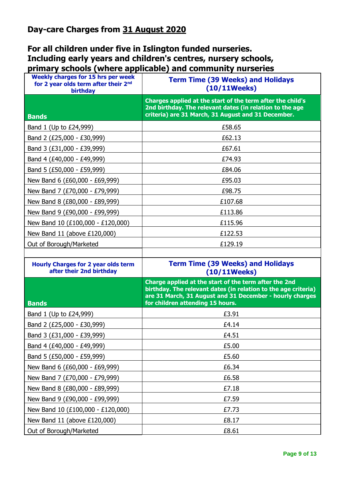# **For all children under five in Islington funded nurseries. Including early years and children's centres, nursery schools, primary schools (where applicable) and community nurseries**

| <b>Weekly charges for 15 hrs per week</b><br>for 2 year olds term after their 2 <sup>nd</sup><br>birthday | <b>Term Time (39 Weeks) and Holidays</b><br>$(10/11 \text{Weeks})$                                                                                                                                                      |
|-----------------------------------------------------------------------------------------------------------|-------------------------------------------------------------------------------------------------------------------------------------------------------------------------------------------------------------------------|
| <b>Bands</b>                                                                                              | Charges applied at the start of the term after the child's<br>2nd birthday. The relevant dates (in relation to the age<br>criteria) are 31 March, 31 August and 31 December.                                            |
| Band 1 (Up to £24,999)                                                                                    | £58.65                                                                                                                                                                                                                  |
| Band 2 (£25,000 - £30,999)                                                                                | £62.13                                                                                                                                                                                                                  |
| Band 3 (£31,000 - £39,999)                                                                                | £67.61                                                                                                                                                                                                                  |
| Band 4 (£40,000 - £49,999)                                                                                | £74.93                                                                                                                                                                                                                  |
| Band 5 (£50,000 - £59,999)                                                                                | £84.06                                                                                                                                                                                                                  |
| New Band 6 (£60,000 - £69,999)                                                                            | £95.03                                                                                                                                                                                                                  |
| New Band 7 (£70,000 - £79,999)                                                                            | £98.75                                                                                                                                                                                                                  |
| New Band 8 (£80,000 - £89,999)                                                                            | £107.68                                                                                                                                                                                                                 |
| New Band 9 (£90,000 - £99,999)                                                                            | £113.86                                                                                                                                                                                                                 |
| New Band 10 (£100,000 - £120,000)                                                                         | £115.96                                                                                                                                                                                                                 |
| New Band 11 (above £120,000)                                                                              | £122.53                                                                                                                                                                                                                 |
| Out of Borough/Marketed                                                                                   | £129.19                                                                                                                                                                                                                 |
|                                                                                                           |                                                                                                                                                                                                                         |
|                                                                                                           |                                                                                                                                                                                                                         |
| <b>Hourly Charges for 2 year olds term</b><br>after their 2nd birthday                                    | <b>Term Time (39 Weeks) and Holidays</b><br>$(10/11 \text{Weeks})$                                                                                                                                                      |
| <b>Bands</b>                                                                                              | Charge applied at the start of the term after the 2nd<br>birthday. The relevant dates (in relation to the age criteria)<br>are 31 March, 31 August and 31 December - hourly charges<br>for children attending 15 hours. |
| Band 1 (Up to £24,999)                                                                                    | £3.91                                                                                                                                                                                                                   |
| Band 2 (£25,000 - £30,999)                                                                                | £4.14                                                                                                                                                                                                                   |
| Band 3 (£31,000 - £39,999)                                                                                | £4.51                                                                                                                                                                                                                   |
| Band 4 (£40,000 - £49,999)                                                                                | £5.00                                                                                                                                                                                                                   |
| Band 5 (£50,000 - £59,999)                                                                                | £5.60                                                                                                                                                                                                                   |
| New Band 6 (£60,000 - £69,999)                                                                            | £6.34                                                                                                                                                                                                                   |
| New Band 7 (£70,000 - £79,999)                                                                            | £6.58                                                                                                                                                                                                                   |
| New Band 8 (£80,000 - £89,999)                                                                            | £7.18                                                                                                                                                                                                                   |
| New Band 9 (£90,000 - £99,999)                                                                            | £7.59                                                                                                                                                                                                                   |
| New Band 10 (£100,000 - £120,000)                                                                         | £7.73                                                                                                                                                                                                                   |
| New Band 11 (above £120,000)                                                                              | £8.17                                                                                                                                                                                                                   |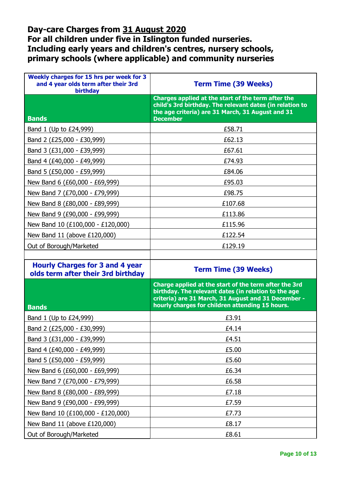# **Day-care Charges from 31 August 2020 For all children under five in Islington funded nurseries. Including early years and children's centres, nursery schools, primary schools (where applicable) and community nurseries**

| Weekly charges for 15 hrs per week for 3<br>and 4 year olds term after their 3rd<br>birthday | <b>Term Time (39 Weeks)</b>                                                                                                                                                                                             |
|----------------------------------------------------------------------------------------------|-------------------------------------------------------------------------------------------------------------------------------------------------------------------------------------------------------------------------|
| <b>Bands</b>                                                                                 | Charges applied at the start of the term after the<br>child's 3rd birthday. The relevant dates (in relation to<br>the age criteria) are 31 March, 31 August and 31<br><b>December</b>                                   |
| Band 1 (Up to £24,999)                                                                       | £58.71                                                                                                                                                                                                                  |
| Band 2 (£25,000 - £30,999)                                                                   | £62.13                                                                                                                                                                                                                  |
| Band 3 (£31,000 - £39,999)                                                                   | £67.61                                                                                                                                                                                                                  |
| Band 4 (£40,000 - £49,999)                                                                   | £74.93                                                                                                                                                                                                                  |
| Band 5 (£50,000 - £59,999)                                                                   | £84.06                                                                                                                                                                                                                  |
| New Band 6 (£60,000 - £69,999)                                                               | £95.03                                                                                                                                                                                                                  |
| New Band 7 (£70,000 - £79,999)                                                               | £98.75                                                                                                                                                                                                                  |
| New Band 8 (£80,000 - £89,999)                                                               | £107.68                                                                                                                                                                                                                 |
| New Band 9 (£90,000 - £99,999)                                                               | £113.86                                                                                                                                                                                                                 |
| New Band 10 (£100,000 - £120,000)                                                            | £115.96                                                                                                                                                                                                                 |
| New Band 11 (above £120,000)                                                                 | £122.54                                                                                                                                                                                                                 |
| Out of Borough/Marketed                                                                      | £129.19                                                                                                                                                                                                                 |
|                                                                                              |                                                                                                                                                                                                                         |
|                                                                                              |                                                                                                                                                                                                                         |
| <b>Hourly Charges for 3 and 4 year</b><br>olds term after their 3rd birthday                 | <b>Term Time (39 Weeks)</b>                                                                                                                                                                                             |
| <b>Bands</b>                                                                                 | Charge applied at the start of the term after the 3rd<br>birthday. The relevant dates (in relation to the age<br>criteria) are 31 March, 31 August and 31 December -<br>hourly charges for children attending 15 hours. |
| Band 1 (Up to £24,999)                                                                       | £3.91                                                                                                                                                                                                                   |
| Band 2 (£25,000 - £30,999)                                                                   | £4.14                                                                                                                                                                                                                   |
| Band 3 (£31,000 - £39,999)                                                                   | £4.51                                                                                                                                                                                                                   |
| Band 4 (£40,000 - £49,999)                                                                   | £5.00                                                                                                                                                                                                                   |
| Band 5 (£50,000 - £59,999)                                                                   | £5.60                                                                                                                                                                                                                   |
| New Band 6 (£60,000 - £69,999)                                                               | £6.34                                                                                                                                                                                                                   |
| New Band 7 (£70,000 - £79,999)                                                               | £6.58                                                                                                                                                                                                                   |
| New Band 8 (£80,000 - £89,999)                                                               | £7.18                                                                                                                                                                                                                   |
| New Band 9 (£90,000 - £99,999)                                                               | £7.59                                                                                                                                                                                                                   |
| New Band 10 (£100,000 - £120,000)                                                            | £7.73                                                                                                                                                                                                                   |
| New Band 11 (above £120,000)                                                                 | £8.17                                                                                                                                                                                                                   |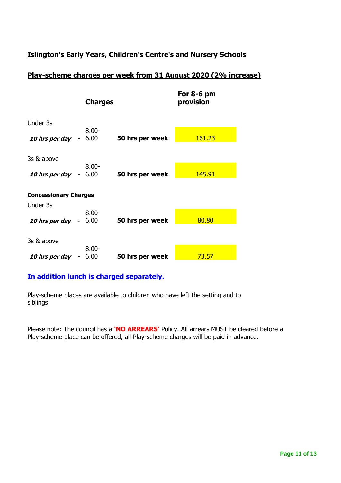# **Islington's Early Years, Children's Centre's and Nursery Schools**

# **Play-scheme charges per week from 31 August 2020 (2% increase)**

|                              |        | <b>Charges</b>   |                 | For $8-6$ pm<br>provision |
|------------------------------|--------|------------------|-----------------|---------------------------|
| Under 3s                     |        |                  |                 |                           |
| <b>10 hrs per day</b> - 6.00 |        | $8.00 -$         | 50 hrs per week | 161.23                    |
| 3s & above                   |        |                  |                 |                           |
| <b>10 hrs per day</b> - 6.00 |        | $8.00 -$         | 50 hrs per week | 145.91                    |
| <b>Concessionary Charges</b> |        |                  |                 |                           |
| Under 3s                     |        |                  |                 |                           |
| <b>10 hrs per day</b> - 6.00 |        | $8.00 -$         | 50 hrs per week | 80.80                     |
|                              |        |                  |                 |                           |
| 3s & above                   |        |                  |                 |                           |
| 10 hrs per day               | $\sim$ | $8.00 -$<br>6.00 | 50 hrs per week | 73.57                     |

# **In addition lunch is charged separately.**

Play-scheme places are available to children who have left the setting and to siblings

Please note: The council has a **'NO ARREARS'** Policy. All arrears MUST be cleared before a Play-scheme place can be offered, all Play-scheme charges will be paid in advance.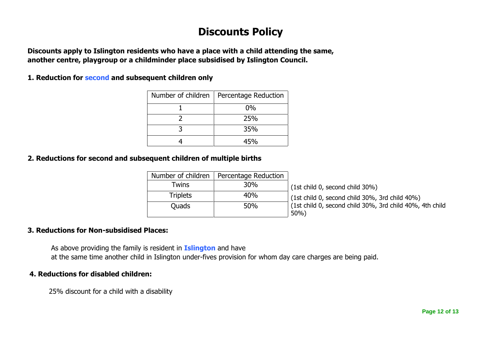# **Discounts Policy**

**Discounts apply to Islington residents who have a place with a child attending the same, another centre, playgroup or a childminder place subsidised by Islington Council.**

**1. Reduction for second and subsequent children only**

| Number of children | Percentage Reduction |
|--------------------|----------------------|
|                    | $0\%$                |
|                    | 25%                  |
|                    | 35%                  |
|                    |                      |

# **2. Reductions for second and subsequent children of multiple births**

| Number of children | Percentage Reduction |                                                                 |
|--------------------|----------------------|-----------------------------------------------------------------|
| Twins              | <b>30%</b>           | (1st child 0, second child 30%)                                 |
| <b>Triplets</b>    | 40%                  | (1st child 0, second child 30%, 3rd child 40%)                  |
| <b>Ouads</b>       | 50%                  | (1st child 0, second child 30%, 3rd child 40%, 4th child<br>50% |
|                    |                      |                                                                 |

# **3. Reductions for Non-subsidised Places:**

 As above providing the family is resident in **Islington** and have at the same time another child in Islington under-fives provision for whom day care charges are being paid.

# **4. Reductions for disabled children:**

25% discount for a child with a disability